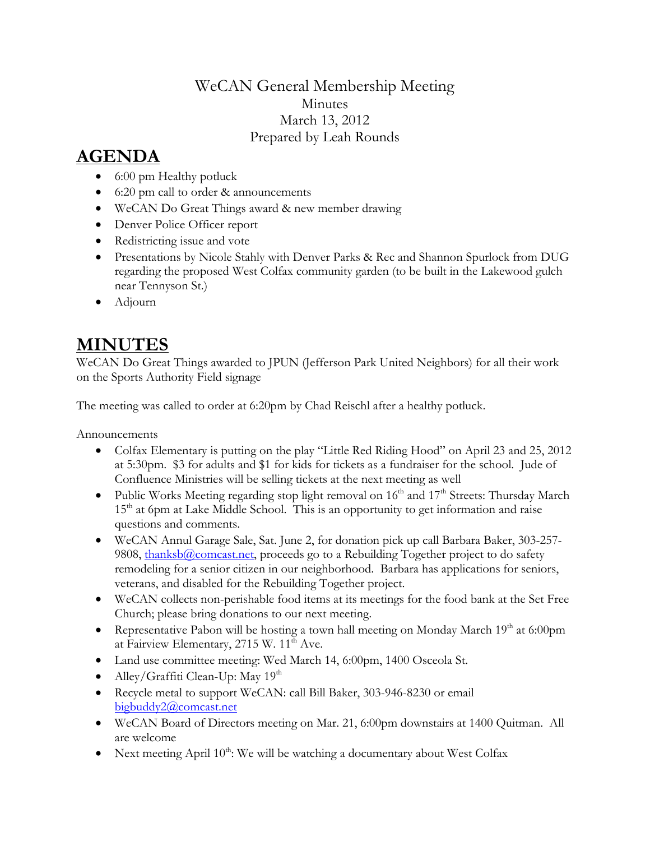## WeCAN General Membership Meeting Minutes March 13, 2012 Prepared by Leah Rounds

## **AGENDA**

- 6:00 pm Healthy potluck
- 6:20 pm call to order & announcements
- WeCAN Do Great Things award & new member drawing
- Denver Police Officer report
- Redistricting issue and vote
- Presentations by Nicole Stahly with Denver Parks & Rec and Shannon Spurlock from DUG regarding the proposed West Colfax community garden (to be built in the Lakewood gulch near Tennyson St.)
- Adjourn

## **MINUTES**

WeCAN Do Great Things awarded to JPUN (Jefferson Park United Neighbors) for all their work on the Sports Authority Field signage

The meeting was called to order at 6:20pm by Chad Reischl after a healthy potluck.

Announcements

- Colfax Elementary is putting on the play "Little Red Riding Hood" on April 23 and 25, 2012 at 5:30pm. \$3 for adults and \$1 for kids for tickets as a fundraiser for the school. Jude of Confluence Ministries will be selling tickets at the next meeting as well
- Public Works Meeting regarding stop light removal on  $16<sup>th</sup>$  and  $17<sup>th</sup>$  Streets: Thursday March  $15<sup>th</sup>$  at 6pm at Lake Middle School. This is an opportunity to get information and raise questions and comments.
- WeCAN Annul Garage Sale, Sat. June 2, for donation pick up call Barbara Baker, 303-257 9808, [thanksb@comcast.net,](mailto:thanksb@comcast.net) proceeds go to a Rebuilding Together project to do safety remodeling for a senior citizen in our neighborhood. Barbara has applications for seniors, veterans, and disabled for the Rebuilding Together project.
- WeCAN collects non-perishable food items at its meetings for the food bank at the Set Free Church; please bring donations to our next meeting.
- Representative Pabon will be hosting a town hall meeting on Monday March 19<sup>th</sup> at 6:00pm at Fairview Elementary, 2715 W. 11<sup>th</sup> Ave.
- Land use committee meeting: Wed March 14, 6:00pm, 1400 Osceola St.
- Alley/Graffiti Clean-Up: May  $19<sup>th</sup>$
- Recycle metal to support WeCAN: call Bill Baker, 303-946-8230 or email [bigbuddy2@comcast.net](mailto:bigbuddy2@comcast.net)
- WeCAN Board of Directors meeting on Mar. 21, 6:00pm downstairs at 1400 Quitman. All are welcome
- Next meeting April  $10^{th}$ : We will be watching a documentary about West Colfax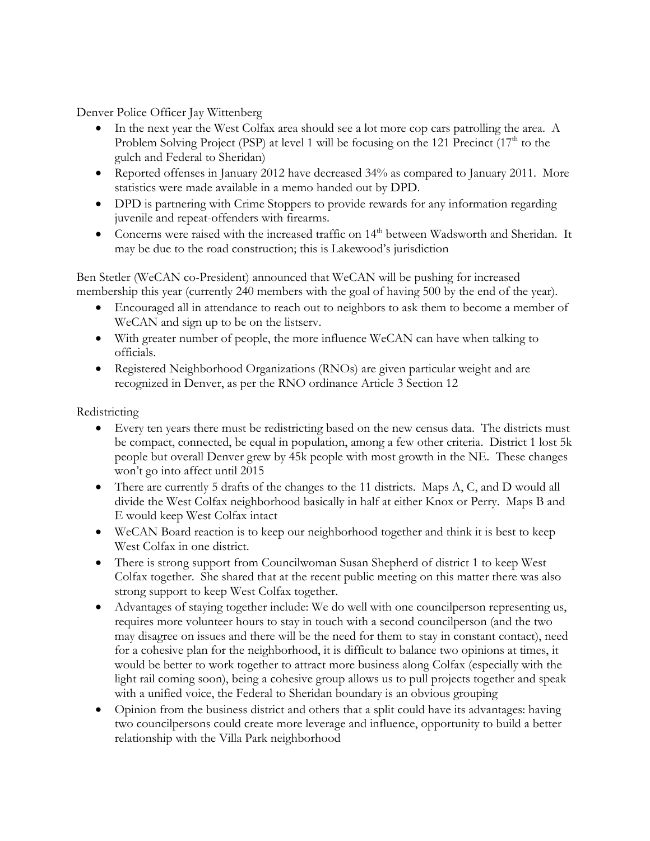Denver Police Officer Jay Wittenberg

- In the next year the West Colfax area should see a lot more cop cars patrolling the area. A Problem Solving Project (PSP) at level 1 will be focusing on the 121 Precinct  $(17<sup>th</sup>$  to the gulch and Federal to Sheridan)
- Reported offenses in January 2012 have decreased 34% as compared to January 2011. More statistics were made available in a memo handed out by DPD.
- DPD is partnering with Crime Stoppers to provide rewards for any information regarding juvenile and repeat-offenders with firearms.
- Concerns were raised with the increased traffic on 14<sup>th</sup> between Wadsworth and Sheridan. It may be due to the road construction; this is Lakewood's jurisdiction

Ben Stetler (WeCAN co-President) announced that WeCAN will be pushing for increased membership this year (currently 240 members with the goal of having 500 by the end of the year).

- Encouraged all in attendance to reach out to neighbors to ask them to become a member of WeCAN and sign up to be on the listserv.
- With greater number of people, the more influence WeCAN can have when talking to officials.
- Registered Neighborhood Organizations (RNOs) are given particular weight and are recognized in Denver, as per the RNO ordinance Article 3 Section 12

Redistricting

- Every ten years there must be redistricting based on the new census data. The districts must be compact, connected, be equal in population, among a few other criteria. District 1 lost 5k people but overall Denver grew by 45k people with most growth in the NE. These changes won't go into affect until 2015
- There are currently 5 drafts of the changes to the 11 districts. Maps A, C, and D would all divide the West Colfax neighborhood basically in half at either Knox or Perry. Maps B and E would keep West Colfax intact
- WeCAN Board reaction is to keep our neighborhood together and think it is best to keep West Colfax in one district.
- There is strong support from Councilwoman Susan Shepherd of district 1 to keep West Colfax together. She shared that at the recent public meeting on this matter there was also strong support to keep West Colfax together.
- Advantages of staying together include: We do well with one councilperson representing us, requires more volunteer hours to stay in touch with a second councilperson (and the two may disagree on issues and there will be the need for them to stay in constant contact), need for a cohesive plan for the neighborhood, it is difficult to balance two opinions at times, it would be better to work together to attract more business along Colfax (especially with the light rail coming soon), being a cohesive group allows us to pull projects together and speak with a unified voice, the Federal to Sheridan boundary is an obvious grouping
- Opinion from the business district and others that a split could have its advantages: having two councilpersons could create more leverage and influence, opportunity to build a better relationship with the Villa Park neighborhood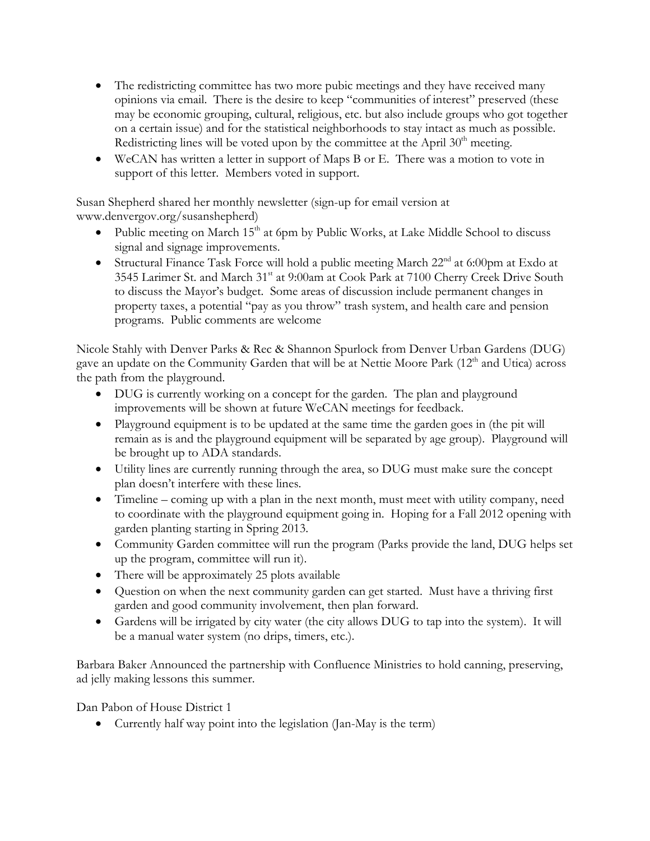- The redistricting committee has two more pubic meetings and they have received many opinions via email. There is the desire to keep "communities of interest" preserved (these may be economic grouping, cultural, religious, etc. but also include groups who got together on a certain issue) and for the statistical neighborhoods to stay intact as much as possible. Redistricting lines will be voted upon by the committee at the April  $30<sup>th</sup>$  meeting.
- WeCAN has written a letter in support of Maps B or E. There was a motion to vote in support of this letter. Members voted in support.

Susan Shepherd shared her monthly newsletter (sign-up for email version at www.denvergov.org/susanshepherd)

- Public meeting on March  $15<sup>th</sup>$  at 6pm by Public Works, at Lake Middle School to discuss signal and signage improvements.
- Structural Finance Task Force will hold a public meeting March  $22<sup>nd</sup>$  at 6:00pm at Exdo at 3545 Larimer St. and March 31<sup>st</sup> at 9:00am at Cook Park at 7100 Cherry Creek Drive South to discuss the Mayor's budget. Some areas of discussion include permanent changes in property taxes, a potential "pay as you throw" trash system, and health care and pension programs. Public comments are welcome

Nicole Stahly with Denver Parks & Rec & Shannon Spurlock from Denver Urban Gardens (DUG) gave an update on the Community Garden that will be at Nettie Moore Park (12<sup>th</sup> and Utica) across the path from the playground.

- DUG is currently working on a concept for the garden. The plan and playground improvements will be shown at future WeCAN meetings for feedback.
- Playground equipment is to be updated at the same time the garden goes in (the pit will remain as is and the playground equipment will be separated by age group). Playground will be brought up to ADA standards.
- Utility lines are currently running through the area, so DUG must make sure the concept plan doesn't interfere with these lines.
- Timeline coming up with a plan in the next month, must meet with utility company, need to coordinate with the playground equipment going in. Hoping for a Fall 2012 opening with garden planting starting in Spring 2013.
- Community Garden committee will run the program (Parks provide the land, DUG helps set up the program, committee will run it).
- There will be approximately 25 plots available
- Question on when the next community garden can get started. Must have a thriving first garden and good community involvement, then plan forward.
- Gardens will be irrigated by city water (the city allows DUG to tap into the system). It will be a manual water system (no drips, timers, etc.).

Barbara Baker Announced the partnership with Confluence Ministries to hold canning, preserving, ad jelly making lessons this summer.

Dan Pabon of House District 1

• Currently half way point into the legislation (Jan-May is the term)